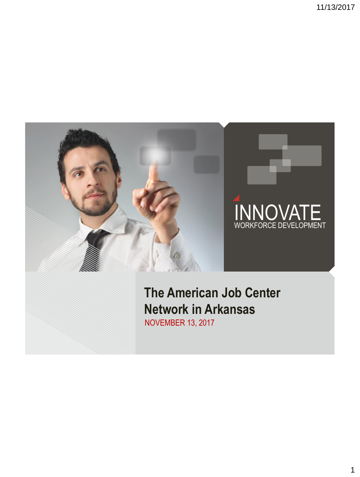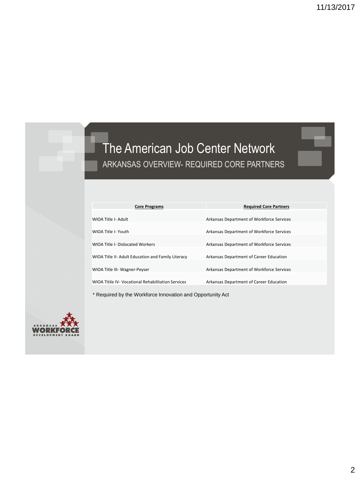## The American Job Center Network ARKANSAS OVERVIEW- REQUIRED CORE PARTNERS

| <b>Core Programs</b>                               | <b>Required Core Partners</b>             |
|----------------------------------------------------|-------------------------------------------|
|                                                    |                                           |
| WIOA Title I- Adult                                | Arkansas Department of Workforce Services |
|                                                    |                                           |
| WIOA Title I- Youth                                | Arkansas Department of Workforce Services |
|                                                    |                                           |
| WIOA Title I- Dislocated Workers                   | Arkansas Department of Workforce Services |
|                                                    |                                           |
| WIOA Title II- Adult Education and Family Literacy | Arkansas Department of Career Education   |
|                                                    |                                           |
| WIOA Title III- Wagner-Peyser                      | Arkansas Department of Workforce Services |
|                                                    |                                           |
| WIOA Titile IV- Vocational Rehabilitation Services | Arkansas Department of Career Education   |

\* Required by the Workforce Innovation and Opportunity Act

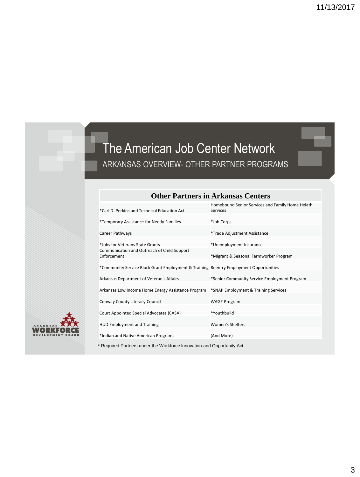## The American Job Center Network ARKANSAS OVERVIEW- OTHER PARTNER PROGRAMS

|                                                                                       | Homebound Senior Services and Family Home Helath |
|---------------------------------------------------------------------------------------|--------------------------------------------------|
| *Carl D. Perkins and Technical Education Act                                          | Services                                         |
| *Temporary Assistance for Needy Families                                              | *Job Corps                                       |
| Career Pathways                                                                       | *Trade Adjustment Assistance                     |
| *Jobs for Veterans State Grants                                                       | *Unemployment Insurance                          |
| Communication and Outreach of Child Support<br>Enforcement                            | *Migrant & Seasonal Farmworker Program           |
| *Community Service Block Grant Employment & Training Reentry Employment Opportunities |                                                  |
| Arkansas Department of Veteran's Affairs                                              | *Senior Community Service Employment Program     |
| Arkansas Low Income Home Energy Assistance Program                                    | *SNAP Employment & Training Services             |
| Conway County Literacy Council                                                        | <b>WAGE Program</b>                              |
| Court Appointed Special Advocates (CASA)                                              | *Youthbuild                                      |
| <b>HUD Employment and Training</b>                                                    | <b>Women's Shelters</b>                          |
| *Indian and Native American Programs                                                  | (And More)                                       |
|                                                                                       |                                                  |

### **Other Partners in Arkansas Centers**

\* Required Partners under the Workforce Innovation and Opportunity Act

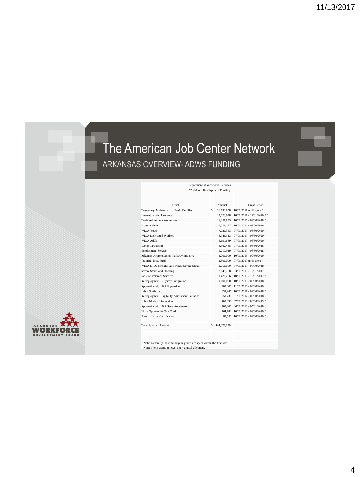## The American Job Center Network ARKANSAS OVERVIEW- ADWS FUNDING



| Grant                                          |   | Amount        | <b>Grant Period</b>                    |
|------------------------------------------------|---|---------------|----------------------------------------|
| Temporary Assistance for Needy Families        | s | 56,732,858    | 10/01/2017 until spent ^               |
| Unemployment Insurance                         |   | 19.073.048    | 10/01/2017 - 12/31/2020 * ^            |
| Trade Adiustment Assistance                    |   | 11.258.835    | 10/01/2015 - 09/30/2018 ^              |
| Promise Grant                                  |   | 8,528,197     | 10/01/2014 - 09/30/2018                |
| WIOA Youth                                     |   | 7.020.353     | 07/01/2017 - 06/30/2020 ^              |
| <b>WIOA</b> Dislocated Workers                 |   | 6.946.313     | 07/01/2017 - 06/30/2020 ^              |
| WIOA Adult                                     |   | 6,691,689     | 07/01/2017 - 06/30/2020 ^              |
| Sector Partnership                             |   | 6.362.485     | 07/01/2015 - 06/30/2018                |
| <b>Employment Service</b>                      |   | 5.217.919     | 07/01/2017 - 06/30/2018 ^              |
| Arkansas Apprenticeship Pathway Initiative     |   | 4,000,000     | 10/01/2015 - 09/30/2020                |
| <b>Training Trust Fund</b>                     |   | 2,500,000     | 07/01/2017 until spent ^               |
| WIOA DWG Straight Line Winds Severe Storm      |   | 2.060,000     | 07/01/2017 - 06/30/2018                |
| Severe Storm and Flooding                      |   | 2,045,788     | 03/01/2016 - 12/31/2017                |
| Johs for Veterans Services                     |   | 1.429.206     | $10/01/2016 - 12/31/2017$ ^            |
| Reemployment & System Integration              |   | 1.100.000     | 10/01/2016 - 09/30/2018                |
| Apprenticeship USA Expansion                   |   | 900,000       | 11/01/2016 - 04/30/2019                |
| Labor Statistics                               |   | 838.247       | 10/01/2017 - 09/30/2018 ^              |
| Reemployment Eligibility Assessment Initiative |   | 758,730       | $01/01/2017 - 06/30/2018$              |
| Labor Market Information                       |   | 405,098       | $07/01/2016 - 06/30/2019$ <sup>^</sup> |
| Apprenticeship USA State Accelerator           |   | 200,000       | $06/01/2016 - 05/31/2018$              |
| Work Opportunity Tax Credit                    |   | 164.782       | 10/01/2016 - 09/30/2019 ^              |
| Foreign Labor Certification                    |   | 87,591        | 10/01/2016 - 09/30/2019 ^              |
|                                                |   |               |                                        |
| <b>Total Funding Amount</b>                    |   | \$144,321,139 |                                        |
|                                                |   |               |                                        |
|                                                |   |               |                                        |
|                                                |   |               |                                        |

Department of Workforce Services Workforce Development Funding

\* Note: Generally these multi-year grants are spent within the first year. ^ Note: These grants receive a new annual allotment.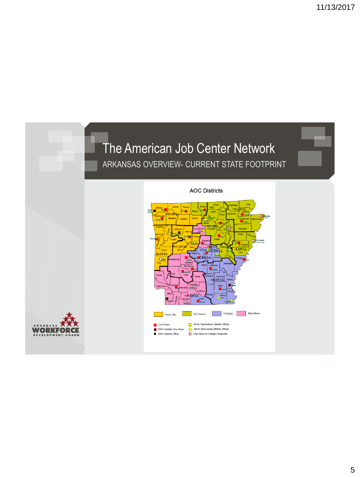# The American Job Center Network ARKANSAS OVERVIEW- CURRENT STATE FOOTPRINT

ORKI

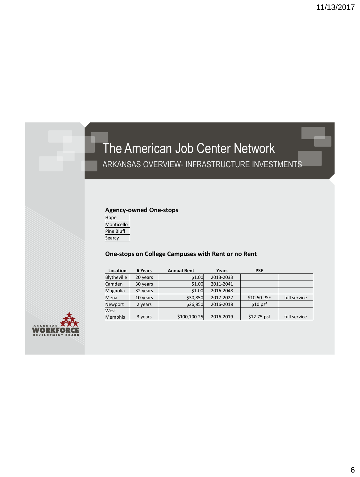# The American Job Center Network ARKANSAS OVERVIEW- INFRASTRUCTURE INVESTMENTS

### **Agency-owned One-stops**

| Hope       |  |
|------------|--|
| Monticello |  |
| Pine Bluff |  |
| Searcy     |  |
|            |  |

### **One-stops on College Campuses with Rent or no Rent**

| Location    | # Years  | <b>Annual Rent</b> | Years     | <b>PSF</b>   |              |
|-------------|----------|--------------------|-----------|--------------|--------------|
| Blytheville | 20 years | \$1.00             | 2013-2033 |              |              |
| Camden      | 30 years | \$1.00             | 2011-2041 |              |              |
| Magnolia    | 32 years | \$1.00             | 2016-2048 |              |              |
| Mena        | 10 years | \$30,850           | 2017-2027 | \$10.50 PSF  | full service |
| Newport     | 2 years  | \$26,850           | 2016-2018 | $$10$ psf    |              |
| West        |          |                    |           |              |              |
| Memphis     | 3 years  | \$100,100.25       | 2016-2019 | $$12.75$ psf | full service |

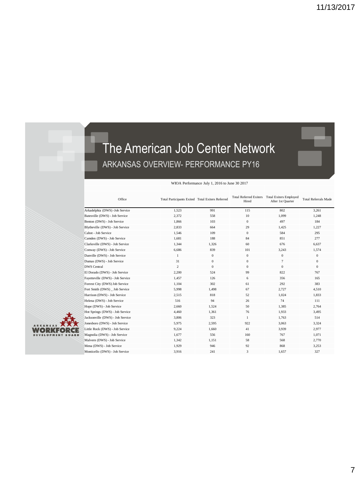## The American Job Center Network ARKANSAS OVERVIEW- PERFORMANCE PY16

#### WIOA Performance July 1, 2016 to June 30 2017

| Office                           | Total Participants Exited Total Exiters Referred |              | Hired            | Total Referred Exiters Total Exiters Employed<br>After 1st Quarter | <b>Total Referrals Made</b> |
|----------------------------------|--------------------------------------------------|--------------|------------------|--------------------------------------------------------------------|-----------------------------|
| Arkadelphia (DWS) - Job Service  | 1,523                                            | 991          | 115              | 802                                                                | 3,261                       |
| Batesville (DWS) - Job Service   | 2,372                                            | 558          | 10               | 1,099                                                              | 1,248                       |
| Benton (DWS) - Job Service       | 1,866                                            | 103          | $\boldsymbol{0}$ | 497                                                                | 184                         |
| Blytheville (DWS) - Job Service  | 2,833                                            | 664          | 29               | 1.425                                                              | 1,227                       |
| Cabot - Job Service              | 1,546                                            | 109          | $\mathbf{0}$     | 584                                                                | 295                         |
| Camden (DWS) - Job Service       | 1,681                                            | 188          | 84               | 851                                                                | 277                         |
| Clarksville (DWS) - Job Service  | 1,344                                            | 1,326        | 60               | 676                                                                | 6,637                       |
| Conway (DWS) - Job Service       | 6,686                                            | 839          | 101              | 3,243                                                              | 1,574                       |
| Danville (DWS) - Job Service     | 1                                                | $\mathbf{0}$ | $\mathbf{0}$     | $\mathbf{0}$                                                       | $\mathbf{0}$                |
| Dumas (DWS) - Job Service        | 31                                               | $\mathbf{0}$ | $\mathbf{0}$     | $\overline{7}$                                                     | $\mathbf{0}$                |
| <b>DWS</b> Central               | $\overline{c}$                                   | $\mathbf{0}$ | $\mathbf{0}$     | $\mathbf{0}$                                                       | $\mathbf{0}$                |
| El Dorado (DWS) - Job Service    | 2,200                                            | 524          | 99               | 822                                                                | 767                         |
| Fayetteville (DWS) - Job Service | 1,457                                            | 126          | 6                | 356                                                                | 165                         |
| Forrest City (DWS) Job Service   | 1,104                                            | 302          | 61               | 292                                                                | 383                         |
| Fort Smith (DWS) Job Service     | 5,998                                            | 1,498        | 67               | 2,727                                                              | 4,510                       |
| Harrison (DWS) - Job Service     | 2,515                                            | 818          | 52               | 1,024                                                              | 1,833                       |
| Helena (DWS) - Job Service       | 516                                              | 94           | 26               | 74                                                                 | 111                         |
| Hope (DWS) - Job Service         | 2,660                                            | 1.524        | 50               | 1.385                                                              | 2.764                       |
| Hot Springs (DWS) - Job Service  | 4,460                                            | 1,361        | 76               | 1,933                                                              | 3,495                       |
| Jacksonville (DWS) - Job Service | 3,806                                            | 323          | $\mathbf{1}$     | 1,763                                                              | 514                         |
| Jonesboro (DWS) - Job Service    | 5,975                                            | 2,595        | 922              | 3,063                                                              | 3,324                       |
| Little Rock (DWS) - Job Service  | 9,224                                            | 1,660        | 41               | 3,939                                                              | 2,977                       |
| Magnolia (DWS) - Job Service     | 1,677                                            | 556          | 160              | 767                                                                | 1,071                       |
| Malvern (DWS) - Job Service      | 1,342                                            | 1,151        | 58               | 568                                                                | 2,770                       |
| Mena (DWS) - Job Service         | 1,929                                            | 946          | 92               | 868                                                                | 3,253                       |
| Monticello (DWS) - Job Service   | 3.916                                            | 241          | 3                | 1.657                                                              | 327                         |



7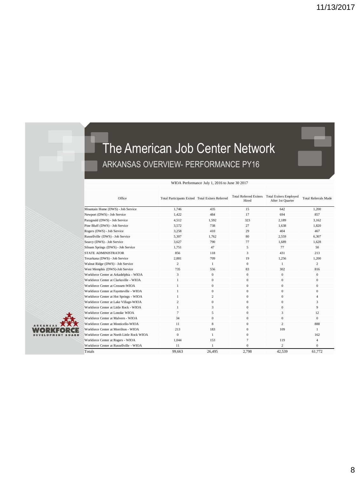## The American Job Center Network ARKANSAS OVERVIEW- PERFORMANCE PY16

#### WIOA Performance July 1, 2016 to June 30 2017

| Office                                     | Total Participants Exited Total Exiters Referred |                | Hired          | Total Referred Exiters Total Exiters Employed<br>After 1st Quarter | Total Referrals Made |
|--------------------------------------------|--------------------------------------------------|----------------|----------------|--------------------------------------------------------------------|----------------------|
| Mountain Home (DWS) - Job Service          | 1.746                                            | 435            | 15             | 642                                                                | 1,200                |
| Newport (DWS) - Job Service                | 1,422                                            | 484            | 17             | 694                                                                | 857                  |
| Paragould (DWS) - Job Service              | 4.512                                            | 1,592          | 323            | 2.189                                                              | 3.162                |
| Pine Bluff (DWS) - Job Service             | 3.572                                            | 738            | 27             | 1.638                                                              | 1.820                |
| Rogers (DWS) - Job Service                 | 3.258                                            | 410            | 29             | 404                                                                | 467                  |
| Russellville (DWS) - Job Service           | 5.307                                            | 1.762          | 80             | 2.559                                                              | 6.307                |
| Searcy (DWS) - Job Service                 | 3,627                                            | 790            | 77             | 1,689                                                              | 1,628                |
| Siloam Springs (DWS) - Job Service         | 1,751                                            | 47             | 5              | 77                                                                 | 50                   |
| STATE ADMINISTRATOR                        | 856                                              | 118            | 3              | 431                                                                | 213                  |
| Texarkana (DWS) - Job Service              | 2,881                                            | 709            | 19             | 1.256                                                              | 1,200                |
| Walnut Ridge (DWS) - Job Service           | 2                                                | $\mathbf{1}$   | $\mathbf{0}$   | 1                                                                  | 2                    |
| West Memphis (DWS)-Job Service             | 735                                              | 556            | 83             | 302                                                                | 816                  |
| Workforce Center at Arkadelphia - WIOA     | 3                                                | $\bf{0}$       | $\mathbf{0}$   | $\mathbf{0}$                                                       | $\mathbf{0}$         |
| Workforce Center at Clarksville - WIOA     |                                                  | $\mathbf{0}$   | $\mathbf{0}$   | $\mathbf{0}$                                                       | $\mathbf{0}$         |
| Workforce Center at Crossett-WIOA          |                                                  | $\bf{0}$       | $\mathbf{0}$   | $\mathbf{0}$                                                       | $\mathbf{0}$         |
| Workforce Center at Fayetteville - WIOA    |                                                  | $\mathbf{0}$   | $\mathbf{0}$   | $\mathbf{0}$                                                       | $\mathbf{0}$         |
| Workforce Center at Hot Springs - WIOA     |                                                  | $\overline{c}$ | $\mathbf{0}$   | $\mathbf{0}$                                                       | 4                    |
| Workforce Center at Lake Village-WIOA      | $\overline{c}$                                   | $\mathbf{0}$   | $\mathbf{0}$   | $\mathbf{0}$                                                       | 3                    |
| Workforce Center at Little Rock - WIOA     | 1                                                | 3              | $\mathbf{0}$   | $\mathbf{0}$                                                       | 9                    |
| Workforce Center at Lonoke WIOA            | 7                                                | 5              | $\mathbf{0}$   | 3                                                                  | 12                   |
| Workforce Center at Malvern - WIOA         | 34                                               | $\bf{0}$       | $\mathbf{0}$   | $\mathbf{0}$                                                       | $\Omega$             |
| Workforce Center at Monticello-WIOA        | 11                                               | 8              | $\mathbf{0}$   | $\overline{c}$                                                     | 888                  |
| Workforce Center at Morrilton - WIOA       | 213                                              | 183            | $\mathbf{0}$   | 109                                                                | 1                    |
| Workforce Center at North Little Rock WIOA | $\Omega$                                         | $\mathbf{1}$   | $\mathbf{0}$   |                                                                    | 162                  |
| Workforce Center at Rogers - WIOA          | 1.044                                            | 153            | $\overline{7}$ | 119                                                                | $\overline{4}$       |
| Workforce Center at Russellville - WIOA    | 11                                               | 1              | $\Omega$       | 2                                                                  | $\Omega$             |
| Totals                                     | 99.663                                           | 26.495         | 2.798          | 42.539                                                             | 61.772               |



8